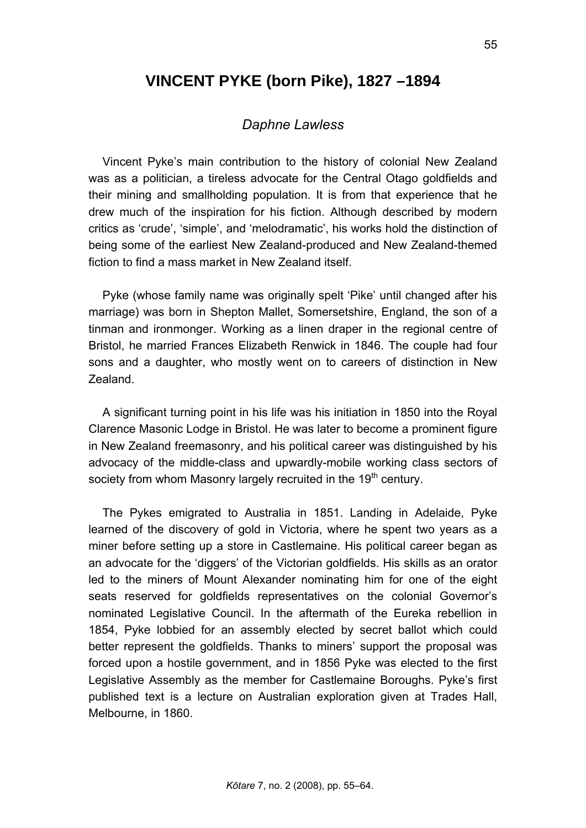# **VINCENT PYKE (born Pike), 1827 –1894**

## *Daphne Lawless*

Vincent Pyke's main contribution to the history of colonial New Zealand was as a politician, a tireless advocate for the Central Otago goldfields and their mining and smallholding population. It is from that experience that he drew much of the inspiration for his fiction. Although described by modern critics as 'crude', 'simple', and 'melodramatic', his works hold the distinction of being some of the earliest New Zealand-produced and New Zealand-themed fiction to find a mass market in New Zealand itself.

Pyke (whose family name was originally spelt 'Pike' until changed after his marriage) was born in Shepton Mallet, Somersetshire, England, the son of a tinman and ironmonger. Working as a linen draper in the regional centre of Bristol, he married Frances Elizabeth Renwick in 1846. The couple had four sons and a daughter, who mostly went on to careers of distinction in New Zealand.

A significant turning point in his life was his initiation in 1850 into the Royal Clarence Masonic Lodge in Bristol. He was later to become a prominent figure in New Zealand freemasonry, and his political career was distinguished by his advocacy of the middle-class and upwardly-mobile working class sectors of society from whom Masonry largely recruited in the 19<sup>th</sup> century.

The Pykes emigrated to Australia in 1851. Landing in Adelaide, Pyke learned of the discovery of gold in Victoria, where he spent two years as a miner before setting up a store in Castlemaine. His political career began as an advocate for the 'diggers' of the Victorian goldfields. His skills as an orator led to the miners of Mount Alexander nominating him for one of the eight seats reserved for goldfields representatives on the colonial Governor's nominated Legislative Council. In the aftermath of the Eureka rebellion in 1854, Pyke lobbied for an assembly elected by secret ballot which could better represent the goldfields. Thanks to miners' support the proposal was forced upon a hostile government, and in 1856 Pyke was elected to the first Legislative Assembly as the member for Castlemaine Boroughs. Pyke's first published text is a lecture on Australian exploration given at Trades Hall, Melbourne, in 1860.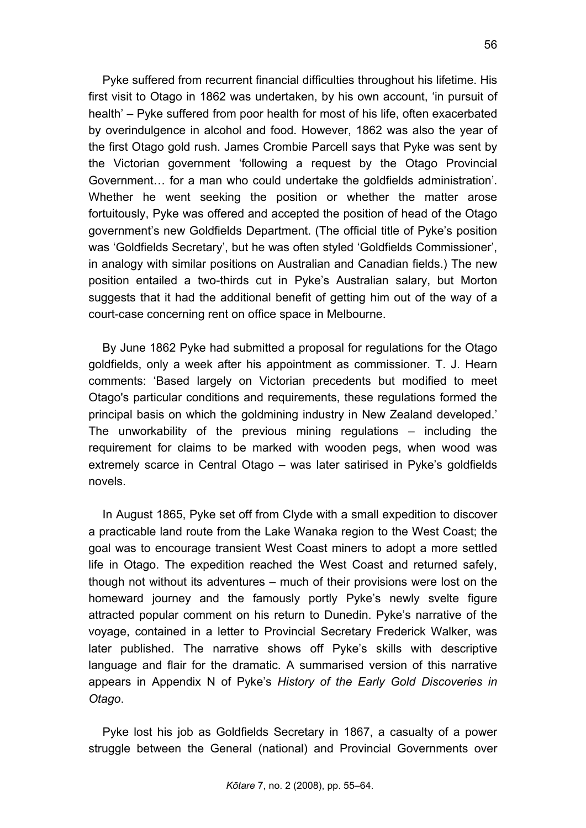Pyke suffered from recurrent financial difficulties throughout his lifetime. His first visit to Otago in 1862 was undertaken, by his own account, 'in pursuit of health' – Pyke suffered from poor health for most of his life, often exacerbated by overindulgence in alcohol and food. However, 1862 was also the year of the first Otago gold rush. James Crombie Parcell says that Pyke was sent by the Victorian government 'following a request by the Otago Provincial Government… for a man who could undertake the goldfields administration'. Whether he went seeking the position or whether the matter arose fortuitously, Pyke was offered and accepted the position of head of the Otago government's new Goldfields Department. (The official title of Pyke's position was 'Goldfields Secretary', but he was often styled 'Goldfields Commissioner', in analogy with similar positions on Australian and Canadian fields.) The new position entailed a two-thirds cut in Pyke's Australian salary, but Morton suggests that it had the additional benefit of getting him out of the way of a court-case concerning rent on office space in Melbourne.

By June 1862 Pyke had submitted a proposal for regulations for the Otago goldfields, only a week after his appointment as commissioner. T. J. Hearn comments: 'Based largely on Victorian precedents but modified to meet Otago's particular conditions and requirements, these regulations formed the principal basis on which the goldmining industry in New Zealand developed.' The unworkability of the previous mining regulations – including the requirement for claims to be marked with wooden pegs, when wood was extremely scarce in Central Otago – was later satirised in Pyke's goldfields novels.

In August 1865, Pyke set off from Clyde with a small expedition to discover a practicable land route from the Lake Wanaka region to the West Coast; the goal was to encourage transient West Coast miners to adopt a more settled life in Otago. The expedition reached the West Coast and returned safely, though not without its adventures – much of their provisions were lost on the homeward journey and the famously portly Pyke's newly svelte figure attracted popular comment on his return to Dunedin. Pyke's narrative of the voyage, contained in a letter to Provincial Secretary Frederick Walker, was later published. The narrative shows off Pyke's skills with descriptive language and flair for the dramatic. A summarised version of this narrative appears in Appendix N of Pyke's *History of the Early Gold Discoveries in Otago*.

Pyke lost his job as Goldfields Secretary in 1867, a casualty of a power struggle between the General (national) and Provincial Governments over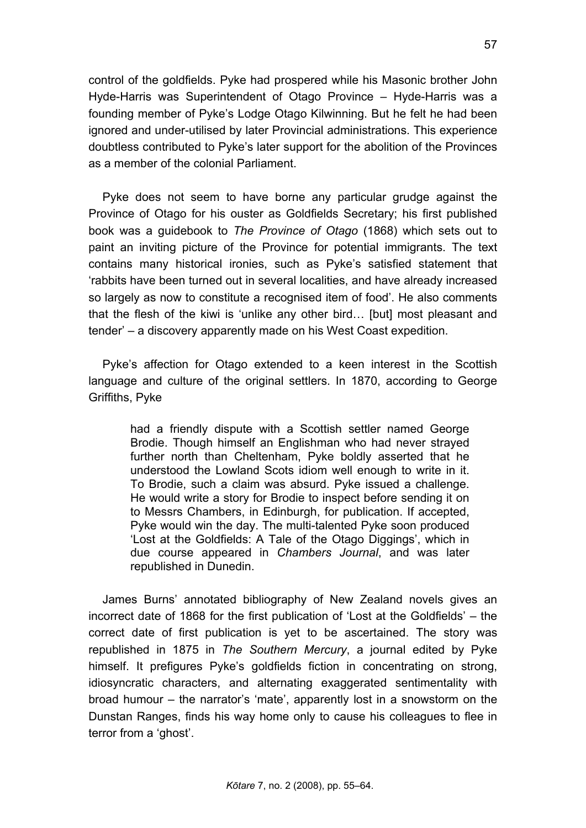control of the goldfields. Pyke had prospered while his Masonic brother John Hyde-Harris was Superintendent of Otago Province – Hyde-Harris was a founding member of Pyke's Lodge Otago Kilwinning. But he felt he had been ignored and under-utilised by later Provincial administrations. This experience doubtless contributed to Pyke's later support for the abolition of the Provinces as a member of the colonial Parliament.

Pyke does not seem to have borne any particular grudge against the Province of Otago for his ouster as Goldfields Secretary; his first published book was a guidebook to *The Province of Otago* (1868) which sets out to paint an inviting picture of the Province for potential immigrants. The text contains many historical ironies, such as Pyke's satisfied statement that 'rabbits have been turned out in several localities, and have already increased so largely as now to constitute a recognised item of food'. He also comments that the flesh of the kiwi is 'unlike any other bird… [but] most pleasant and tender' – a discovery apparently made on his West Coast expedition.

Pyke's affection for Otago extended to a keen interest in the Scottish language and culture of the original settlers. In 1870, according to George Griffiths, Pyke

had a friendly dispute with a Scottish settler named George Brodie. Though himself an Englishman who had never strayed further north than Cheltenham, Pyke boldly asserted that he understood the Lowland Scots idiom well enough to write in it. To Brodie, such a claim was absurd. Pyke issued a challenge. He would write a story for Brodie to inspect before sending it on to Messrs Chambers, in Edinburgh, for publication. If accepted, Pyke would win the day. The multi-talented Pyke soon produced 'Lost at the Goldfields: A Tale of the Otago Diggings', which in due course appeared in *Chambers Journal*, and was later republished in Dunedin.

James Burns' annotated bibliography of New Zealand novels gives an incorrect date of 1868 for the first publication of 'Lost at the Goldfields' – the correct date of first publication is yet to be ascertained. The story was republished in 1875 in *The Southern Mercury*, a journal edited by Pyke himself. It prefigures Pyke's goldfields fiction in concentrating on strong, idiosyncratic characters, and alternating exaggerated sentimentality with broad humour – the narrator's 'mate', apparently lost in a snowstorm on the Dunstan Ranges, finds his way home only to cause his colleagues to flee in terror from a 'ghost'.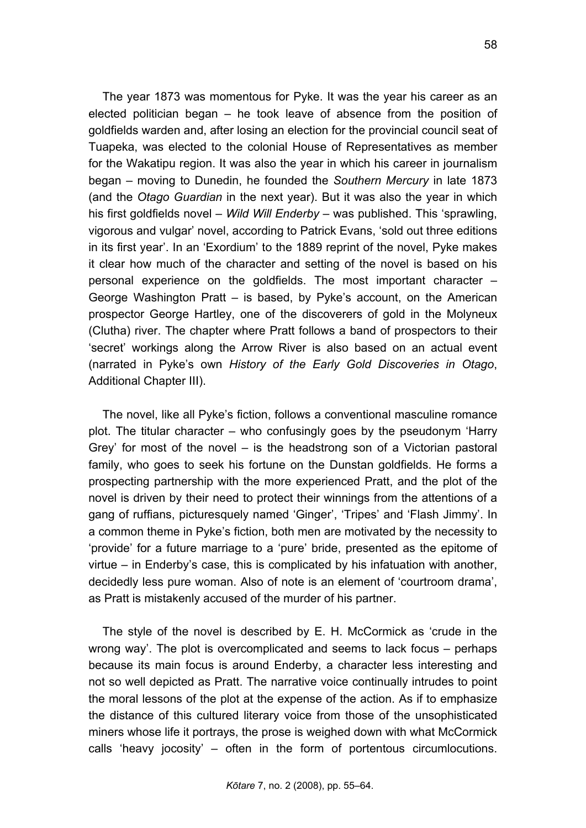The year 1873 was momentous for Pyke. It was the year his career as an elected politician began – he took leave of absence from the position of goldfields warden and, after losing an election for the provincial council seat of Tuapeka, was elected to the colonial House of Representatives as member for the Wakatipu region. It was also the year in which his career in journalism began – moving to Dunedin, he founded the *Southern Mercury* in late 1873 (and the *Otago Guardian* in the next year). But it was also the year in which his first goldfields novel – *Wild Will Enderby* – was published. This 'sprawling, vigorous and vulgar' novel, according to Patrick Evans, 'sold out three editions in its first year'. In an 'Exordium' to the 1889 reprint of the novel, Pyke makes it clear how much of the character and setting of the novel is based on his personal experience on the goldfields. The most important character – George Washington Pratt – is based, by Pyke's account, on the American prospector George Hartley, one of the discoverers of gold in the Molyneux (Clutha) river. The chapter where Pratt follows a band of prospectors to their 'secret' workings along the Arrow River is also based on an actual event (narrated in Pyke's own *History of the Early Gold Discoveries in Otago*, Additional Chapter III).

The novel, like all Pyke's fiction, follows a conventional masculine romance plot. The titular character – who confusingly goes by the pseudonym 'Harry Grey' for most of the novel – is the headstrong son of a Victorian pastoral family, who goes to seek his fortune on the Dunstan goldfields. He forms a prospecting partnership with the more experienced Pratt, and the plot of the novel is driven by their need to protect their winnings from the attentions of a gang of ruffians, picturesquely named 'Ginger', 'Tripes' and 'Flash Jimmy'. In a common theme in Pyke's fiction, both men are motivated by the necessity to 'provide' for a future marriage to a 'pure' bride, presented as the epitome of virtue – in Enderby's case, this is complicated by his infatuation with another, decidedly less pure woman. Also of note is an element of 'courtroom drama', as Pratt is mistakenly accused of the murder of his partner.

The style of the novel is described by E. H. McCormick as 'crude in the wrong way'. The plot is overcomplicated and seems to lack focus – perhaps because its main focus is around Enderby, a character less interesting and not so well depicted as Pratt. The narrative voice continually intrudes to point the moral lessons of the plot at the expense of the action. As if to emphasize the distance of this cultured literary voice from those of the unsophisticated miners whose life it portrays, the prose is weighed down with what McCormick calls 'heavy jocosity' – often in the form of portentous circumlocutions.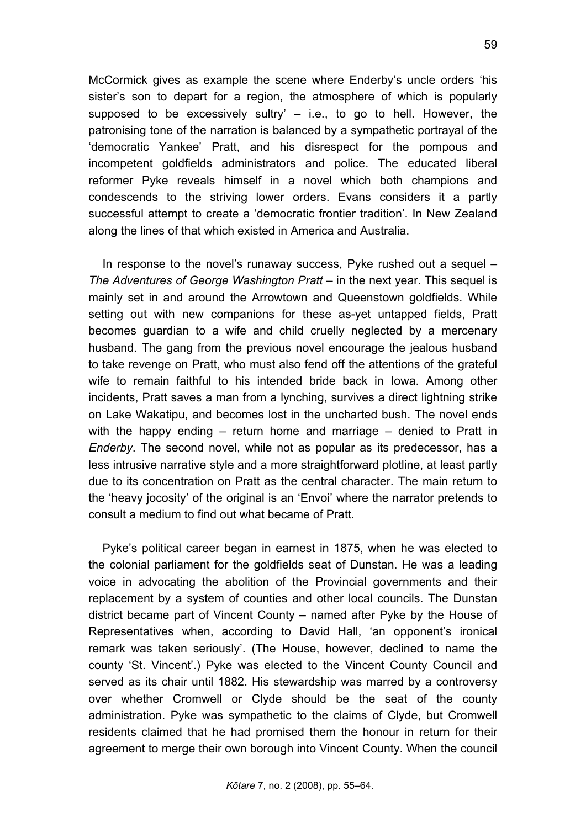McCormick gives as example the scene where Enderby's uncle orders 'his sister's son to depart for a region, the atmosphere of which is popularly supposed to be excessively sultry'  $-$  i.e., to go to hell. However, the patronising tone of the narration is balanced by a sympathetic portrayal of the 'democratic Yankee' Pratt, and his disrespect for the pompous and incompetent goldfields administrators and police. The educated liberal reformer Pyke reveals himself in a novel which both champions and condescends to the striving lower orders. Evans considers it a partly successful attempt to create a 'democratic frontier tradition'. In New Zealand along the lines of that which existed in America and Australia.

In response to the novel's runaway success, Pyke rushed out a sequel – *The Adventures of George Washington Pratt* – in the next year. This sequel is mainly set in and around the Arrowtown and Queenstown goldfields. While setting out with new companions for these as-yet untapped fields, Pratt becomes guardian to a wife and child cruelly neglected by a mercenary husband. The gang from the previous novel encourage the jealous husband to take revenge on Pratt, who must also fend off the attentions of the grateful wife to remain faithful to his intended bride back in Iowa. Among other incidents, Pratt saves a man from a lynching, survives a direct lightning strike on Lake Wakatipu, and becomes lost in the uncharted bush. The novel ends with the happy ending – return home and marriage – denied to Pratt in *Enderby*. The second novel, while not as popular as its predecessor, has a less intrusive narrative style and a more straightforward plotline, at least partly due to its concentration on Pratt as the central character. The main return to the 'heavy jocosity' of the original is an 'Envoi' where the narrator pretends to consult a medium to find out what became of Pratt.

Pyke's political career began in earnest in 1875, when he was elected to the colonial parliament for the goldfields seat of Dunstan. He was a leading voice in advocating the abolition of the Provincial governments and their replacement by a system of counties and other local councils. The Dunstan district became part of Vincent County – named after Pyke by the House of Representatives when, according to David Hall, 'an opponent's ironical remark was taken seriously'. (The House, however, declined to name the county 'St. Vincent'.) Pyke was elected to the Vincent County Council and served as its chair until 1882. His stewardship was marred by a controversy over whether Cromwell or Clyde should be the seat of the county administration. Pyke was sympathetic to the claims of Clyde, but Cromwell residents claimed that he had promised them the honour in return for their agreement to merge their own borough into Vincent County. When the council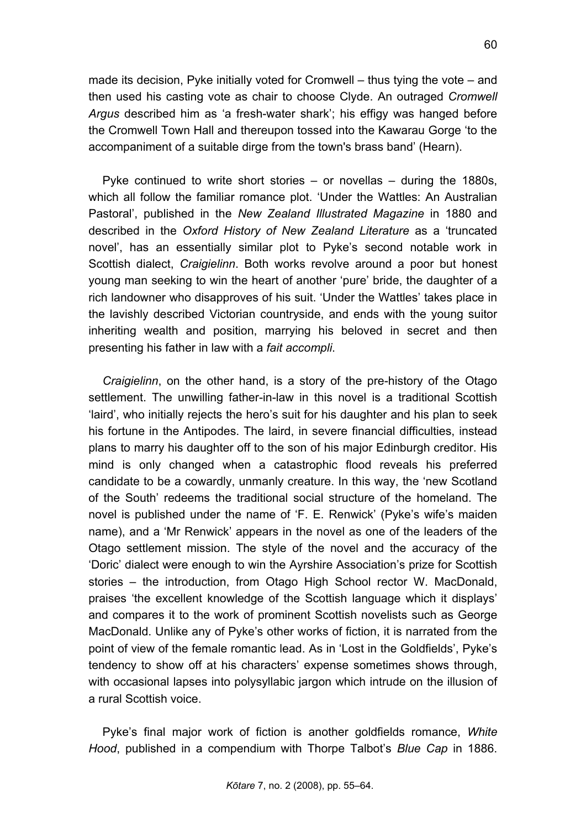made its decision, Pyke initially voted for Cromwell – thus tying the vote – and then used his casting vote as chair to choose Clyde. An outraged *Cromwell Argus* described him as 'a fresh-water shark'; his effigy was hanged before the Cromwell Town Hall and thereupon tossed into the Kawarau Gorge 'to the accompaniment of a suitable dirge from the town's brass band' (Hearn).

Pyke continued to write short stories – or novellas – during the 1880s, which all follow the familiar romance plot. 'Under the Wattles: An Australian Pastoral', published in the *New Zealand Illustrated Magazine* in 1880 and described in the *Oxford History of New Zealand Literature* as a 'truncated novel', has an essentially similar plot to Pyke's second notable work in Scottish dialect, *Craigielinn*. Both works revolve around a poor but honest young man seeking to win the heart of another 'pure' bride, the daughter of a rich landowner who disapproves of his suit. 'Under the Wattles' takes place in the lavishly described Victorian countryside, and ends with the young suitor inheriting wealth and position, marrying his beloved in secret and then presenting his father in law with a *fait accompli*.

*Craigielinn*, on the other hand, is a story of the pre-history of the Otago settlement. The unwilling father-in-law in this novel is a traditional Scottish 'laird', who initially rejects the hero's suit for his daughter and his plan to seek his fortune in the Antipodes. The laird, in severe financial difficulties, instead plans to marry his daughter off to the son of his major Edinburgh creditor. His mind is only changed when a catastrophic flood reveals his preferred candidate to be a cowardly, unmanly creature. In this way, the 'new Scotland of the South' redeems the traditional social structure of the homeland. The novel is published under the name of 'F. E. Renwick' (Pyke's wife's maiden name), and a 'Mr Renwick' appears in the novel as one of the leaders of the Otago settlement mission. The style of the novel and the accuracy of the 'Doric' dialect were enough to win the Ayrshire Association's prize for Scottish stories – the introduction, from Otago High School rector W. MacDonald, praises 'the excellent knowledge of the Scottish language which it displays' and compares it to the work of prominent Scottish novelists such as George MacDonald. Unlike any of Pyke's other works of fiction, it is narrated from the point of view of the female romantic lead. As in 'Lost in the Goldfields', Pyke's tendency to show off at his characters' expense sometimes shows through, with occasional lapses into polysyllabic jargon which intrude on the illusion of a rural Scottish voice.

Pyke's final major work of fiction is another goldfields romance, *White Hood*, published in a compendium with Thorpe Talbot's *Blue Cap* in 1886.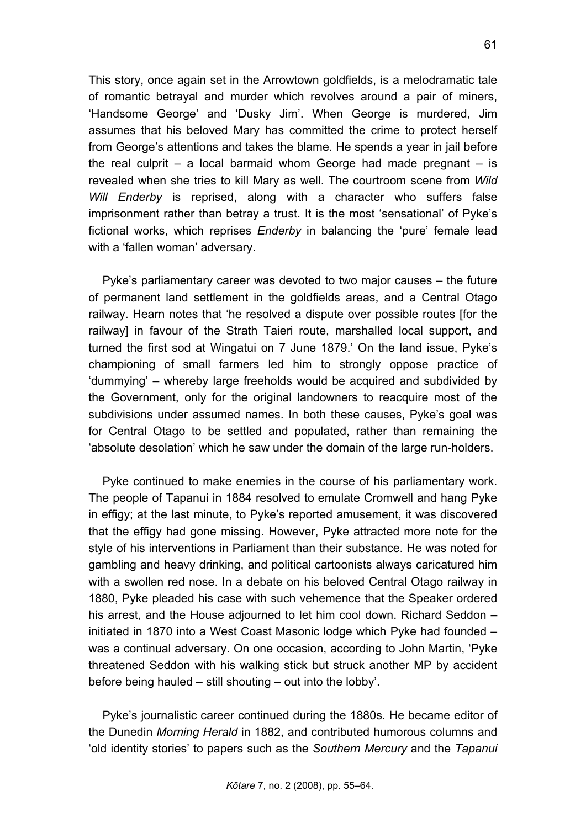This story, once again set in the Arrowtown goldfields, is a melodramatic tale of romantic betrayal and murder which revolves around a pair of miners, 'Handsome George' and 'Dusky Jim'. When George is murdered, Jim assumes that his beloved Mary has committed the crime to protect herself from George's attentions and takes the blame. He spends a year in jail before the real culprit – a local barmaid whom George had made pregnant  $-$  is revealed when she tries to kill Mary as well. The courtroom scene from *Wild Will Enderby* is reprised, along with a character who suffers false imprisonment rather than betray a trust. It is the most 'sensational' of Pyke's fictional works, which reprises *Enderby* in balancing the 'pure' female lead with a 'fallen woman' adversary.

Pyke's parliamentary career was devoted to two major causes – the future of permanent land settlement in the goldfields areas, and a Central Otago railway. Hearn notes that 'he resolved a dispute over possible routes [for the railway] in favour of the Strath Taieri route, marshalled local support, and turned the first sod at Wingatui on 7 June 1879.' On the land issue, Pyke's championing of small farmers led him to strongly oppose practice of 'dummying' – whereby large freeholds would be acquired and subdivided by the Government, only for the original landowners to reacquire most of the subdivisions under assumed names. In both these causes, Pyke's goal was for Central Otago to be settled and populated, rather than remaining the 'absolute desolation' which he saw under the domain of the large run-holders.

Pyke continued to make enemies in the course of his parliamentary work. The people of Tapanui in 1884 resolved to emulate Cromwell and hang Pyke in effigy; at the last minute, to Pyke's reported amusement, it was discovered that the effigy had gone missing. However, Pyke attracted more note for the style of his interventions in Parliament than their substance. He was noted for gambling and heavy drinking, and political cartoonists always caricatured him with a swollen red nose. In a debate on his beloved Central Otago railway in 1880, Pyke pleaded his case with such vehemence that the Speaker ordered his arrest, and the House adjourned to let him cool down. Richard Seddon – initiated in 1870 into a West Coast Masonic lodge which Pyke had founded – was a continual adversary. On one occasion, according to John Martin, 'Pyke threatened Seddon with his walking stick but struck another MP by accident before being hauled – still shouting – out into the lobby'.

Pyke's journalistic career continued during the 1880s. He became editor of the Dunedin *Morning Herald* in 1882, and contributed humorous columns and 'old identity stories' to papers such as the *Southern Mercury* and the *Tapanui*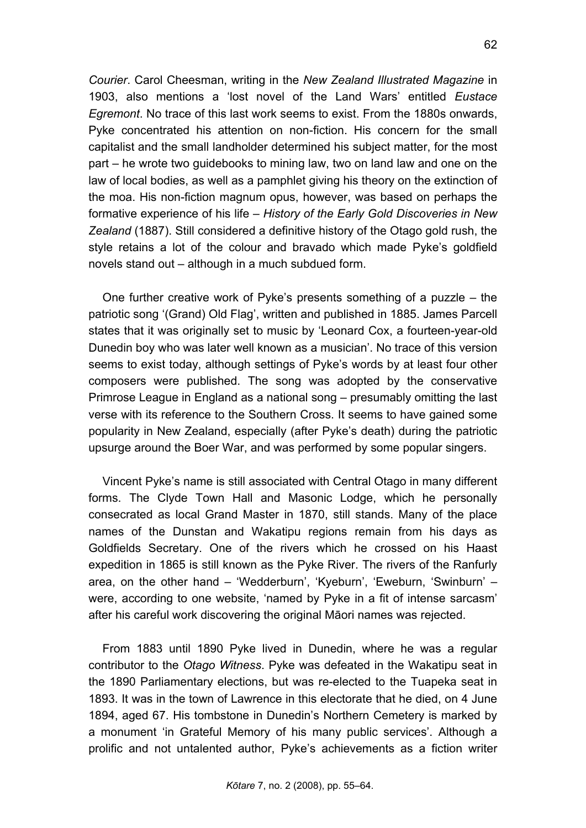*Courier*. Carol Cheesman, writing in the *New Zealand Illustrated Magazine* in 1903, also mentions a 'lost novel of the Land Wars' entitled *Eustace Egremont*. No trace of this last work seems to exist. From the 1880s onwards, Pyke concentrated his attention on non-fiction. His concern for the small capitalist and the small landholder determined his subject matter, for the most part – he wrote two guidebooks to mining law, two on land law and one on the law of local bodies, as well as a pamphlet giving his theory on the extinction of the moa. His non-fiction magnum opus, however, was based on perhaps the formative experience of his life – *History of the Early Gold Discoveries in New Zealand* (1887). Still considered a definitive history of the Otago gold rush, the style retains a lot of the colour and bravado which made Pyke's goldfield novels stand out – although in a much subdued form.

One further creative work of Pyke's presents something of a puzzle – the patriotic song '(Grand) Old Flag', written and published in 1885. James Parcell states that it was originally set to music by 'Leonard Cox, a fourteen-year-old Dunedin boy who was later well known as a musician'. No trace of this version seems to exist today, although settings of Pyke's words by at least four other composers were published. The song was adopted by the conservative Primrose League in England as a national song – presumably omitting the last verse with its reference to the Southern Cross. It seems to have gained some popularity in New Zealand, especially (after Pyke's death) during the patriotic upsurge around the Boer War, and was performed by some popular singers.

Vincent Pyke's name is still associated with Central Otago in many different forms. The Clyde Town Hall and Masonic Lodge, which he personally consecrated as local Grand Master in 1870, still stands. Many of the place names of the Dunstan and Wakatipu regions remain from his days as Goldfields Secretary. One of the rivers which he crossed on his Haast expedition in 1865 is still known as the Pyke River. The rivers of the Ranfurly area, on the other hand – 'Wedderburn', 'Kyeburn', 'Eweburn, 'Swinburn' – were, according to one website, 'named by Pyke in a fit of intense sarcasm' after his careful work discovering the original Māori names was rejected.

From 1883 until 1890 Pyke lived in Dunedin, where he was a regular contributor to the *Otago Witness*. Pyke was defeated in the Wakatipu seat in the 1890 Parliamentary elections, but was re-elected to the Tuapeka seat in 1893. It was in the town of Lawrence in this electorate that he died, on 4 June 1894, aged 67. His tombstone in Dunedin's Northern Cemetery is marked by a monument 'in Grateful Memory of his many public services'. Although a prolific and not untalented author, Pyke's achievements as a fiction writer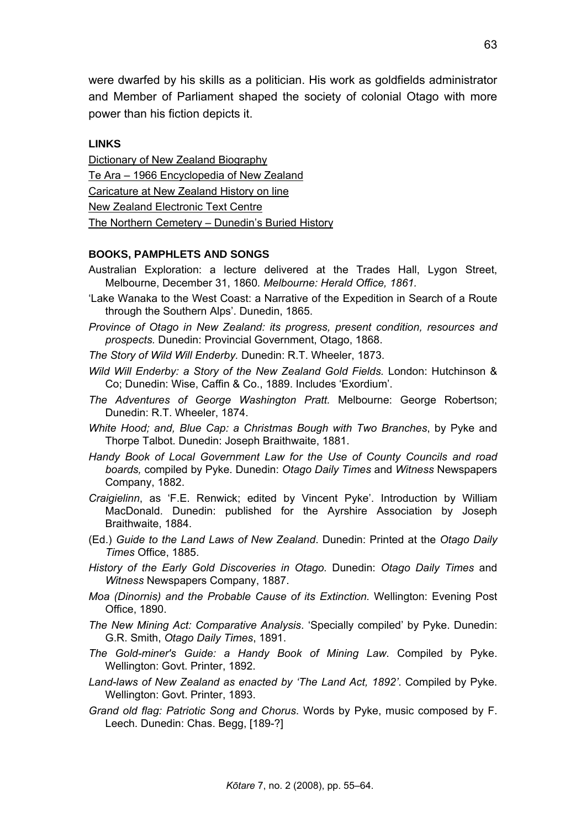were dwarfed by his skills as a politician. His work as goldfields administrator and Member of Parliament shaped the society of colonial Otago with more power than his fiction depicts it.

### **LINKS**

[Dictionary of New Zealand Biography](http://www.dnzb.govt.nz/dnzb/Find_Quick.asp?PersonEssay=2P33) [Te Ara – 1966 Encyclopedia of New Zealand](http://www.teara.govt.nz/1966/P/PykeVincent/PykeVincent/en) [Caricature at New Zealand History on line](http://www.nzhistory.net.nz/media/photo/vincent-pyke-mp-cartoon) [New Zealand Electronic Text Centre](http://www.nzetc.org/tm/scholarly/name-122869.html) [The Northern Cemetery – Dunedin's Buried History](http://www.southernheritage.org.nz/northerncemetery/application/dynamic/bio.cfm?BurialID=80073)

#### **BOOKS, PAMPHLETS AND SONGS**

- Australian Exploration: a lecture delivered at the Trades Hall, Lygon Street, Melbourne, December 31, 1860*. Melbourne: Herald Office, 1861.*
- 'Lake Wanaka to the West Coast: a Narrative of the Expedition in Search of a Route through the Southern Alps'. Dunedin, 1865.
- *Province of Otago in New Zealand: its progress, present condition, resources and prospects.* Dunedin: Provincial Government, Otago, 1868.
- *The Story of Wild Will Enderby.* Dunedin: R.T. Wheeler, 1873.
- *Wild Will Enderby: a Story of the New Zealand Gold Fields.* London: Hutchinson & Co; Dunedin: Wise, Caffin & Co., 1889. Includes 'Exordium'.
- *The Adventures of George Washington Pratt.* Melbourne: George Robertson; Dunedin: R.T. Wheeler, 1874.
- *White Hood; and, Blue Cap: a Christmas Bough with Two Branches*, by Pyke and Thorpe Talbot. Dunedin: Joseph Braithwaite, 1881.
- *Handy Book of Local Government Law for the Use of County Councils and road boards,* compiled by Pyke. Dunedin: *Otago Daily Times* and *Witness* Newspapers Company, 1882.
- *Craigielinn*, as 'F.E. Renwick; edited by Vincent Pyke'. Introduction by William MacDonald. Dunedin: published for the Ayrshire Association by Joseph Braithwaite, 1884.
- (Ed.) *Guide to the Land Laws of New Zealand*. Dunedin: Printed at the *Otago Daily Times* Office, 1885.
- *History of the Early Gold Discoveries in Otago.* Dunedin: *Otago Daily Times* and *Witness* Newspapers Company, 1887.
- *Moa (Dinornis) and the Probable Cause of its Extinction.* Wellington: Evening Post Office, 1890.
- *The New Mining Act: Comparative Analysis*. 'Specially compiled' by Pyke. Dunedin: G.R. Smith, *Otago Daily Times*, 1891.
- *The Gold-miner's Guide: a Handy Book of Mining Law*. Compiled by Pyke. Wellington: Govt. Printer, 1892.
- *Land-laws of New Zealand as enacted by 'The Land Act, 1892'*. Compiled by Pyke. Wellington: Govt. Printer, 1893.
- *Grand old flag: Patriotic Song and Chorus*. Words by Pyke, music composed by F. Leech. Dunedin: Chas. Begg, [189-?]